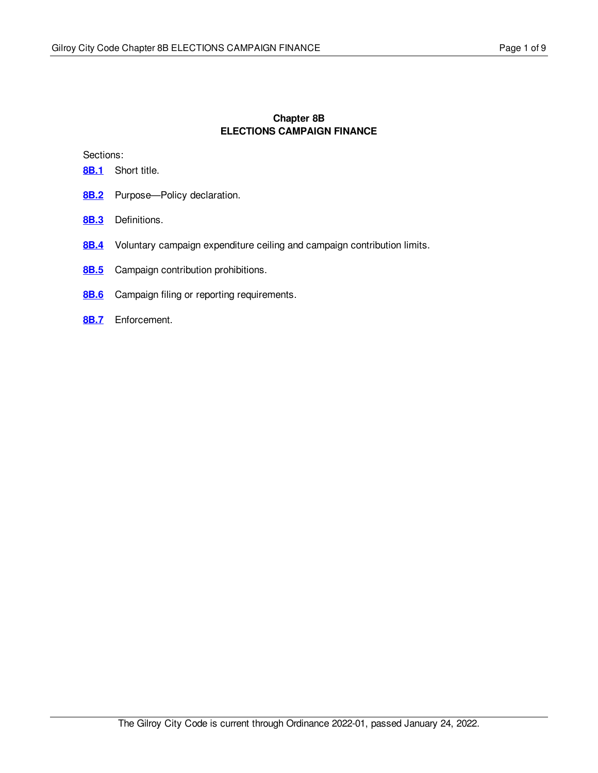# **Chapter 8B ELECTIONS CAMPAIGN FINANCE**

Sections:

- [8B.1](#page-1-0) Short title.
- [8B.2](#page-2-0) Purpose—Policy declaration.
- **[8B.3](#page-3-0)** Definitions.
- [8B.4](#page-5-0) Voluntary campaign expenditure ceiling and campaign contribution limits.
- [8B.5](#page-6-0) Campaign contribution prohibitions.
- **[8B.6](#page-7-0)** Campaign filing or reporting requirements.
- **[8B.7](#page-8-0)** Enforcement.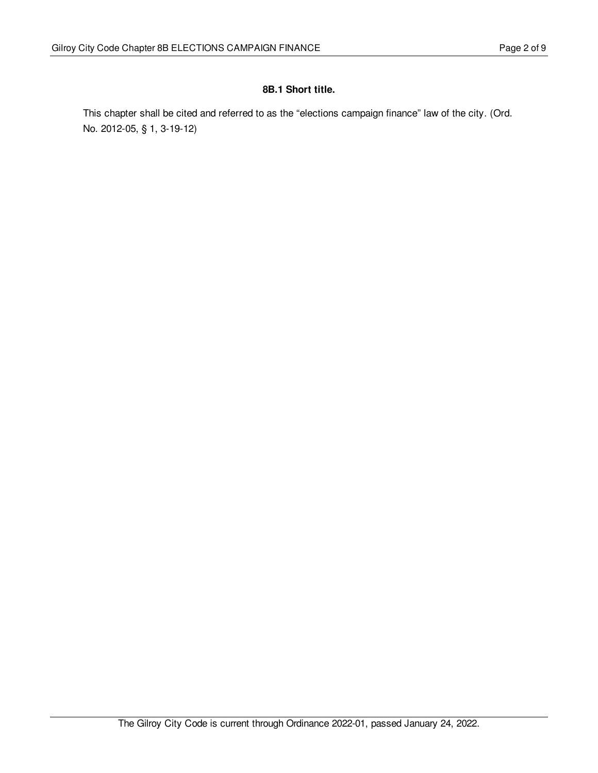## <span id="page-1-0"></span>**8B.1 Short title.**

This chapter shall be cited and referred to as the "elections campaign finance" law of the city. (Ord. No. 2012-05, § 1, 3-19-12)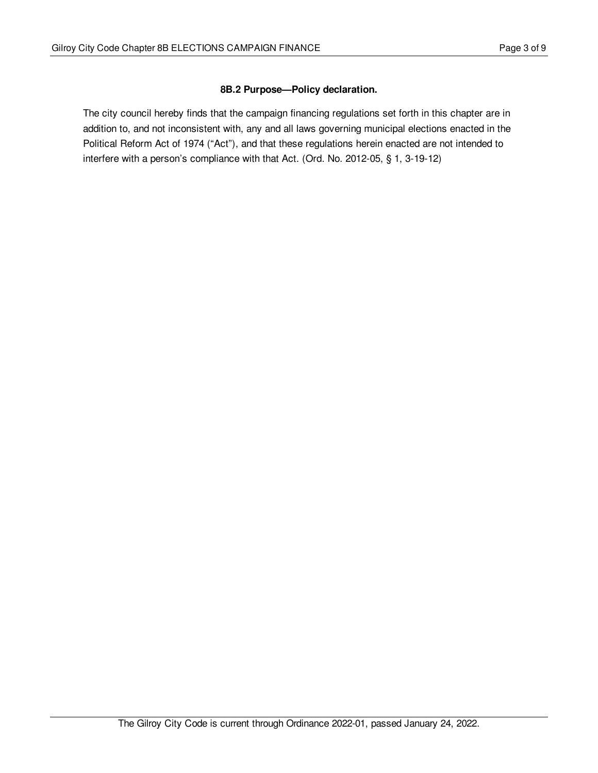# <span id="page-2-0"></span>**8B.2 Purpose—Policy declaration.**

The city council hereby finds that the campaign financing regulations set forth in this chapter are in addition to, and not inconsistent with, any and all laws governing municipal elections enacted in the Political Reform Act of 1974 ("Act"), and that these regulations herein enacted are not intended to interfere with a person's compliance with that Act. (Ord. No. 2012-05, § 1, 3-19-12)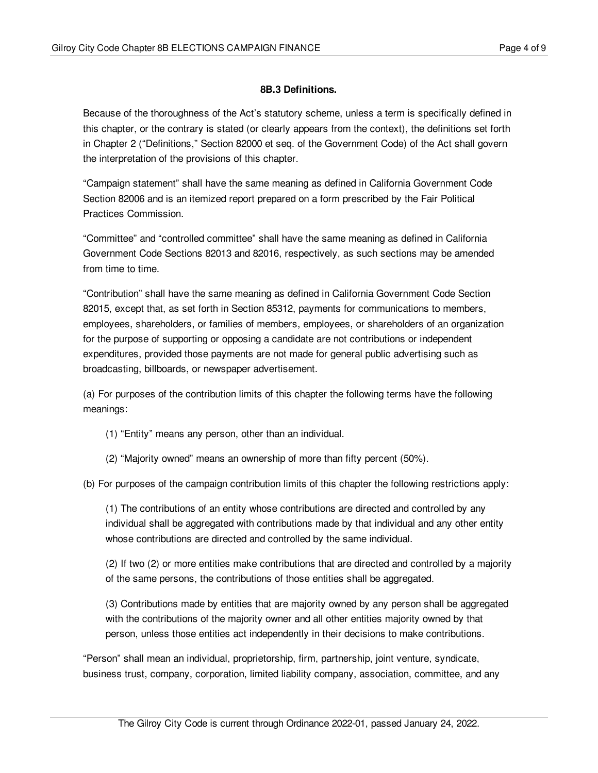## <span id="page-3-0"></span>**8B.3 Definitions.**

Because of the thoroughness of the Act's statutory scheme, unless a term is specifically defined in this chapter, or the contrary is stated (or clearly appears from the context), the definitions set forth in Chapter 2 ("Definitions," Section 82000 et seq. of the Government Code) of the Act shall govern the interpretation of the provisions of this chapter.

"Campaign statement" shall have the same meaning as defined in California Government Code Section 82006 and is an itemized report prepared on a form prescribed by the Fair Political Practices Commission.

"Committee" and "controlled committee" shall have the same meaning as defined in California Government Code Sections 82013 and 82016, respectively, as such sections may be amended from time to time.

"Contribution" shall have the same meaning as defined in California Government Code Section 82015, except that, as set forth in Section 85312, payments for communications to members, employees, shareholders, or families of members, employees, or shareholders of an organization for the purpose of supporting or opposing a candidate are not contributions or independent expenditures, provided those payments are not made for general public advertising such as broadcasting, billboards, or newspaper advertisement.

(a) For purposes of the contribution limits of this chapter the following terms have the following meanings:

- (1) "Entity" means any person, other than an individual.
- (2) "Majority owned" means an ownership of more than fifty percent (50%).

(b) For purposes of the campaign contribution limits of this chapter the following restrictions apply:

(1) The contributions of an entity whose contributions are directed and controlled by any individual shall be aggregated with contributions made by that individual and any other entity whose contributions are directed and controlled by the same individual.

(2) If two (2) or more entities make contributions that are directed and controlled by a majority of the same persons, the contributions of those entities shall be aggregated.

(3) Contributions made by entities that are majority owned by any person shall be aggregated with the contributions of the majority owner and all other entities majority owned by that person, unless those entities act independently in their decisions to make contributions.

"Person" shall mean an individual, proprietorship, firm, partnership, joint venture, syndicate, business trust, company, corporation, limited liability company, association, committee, and any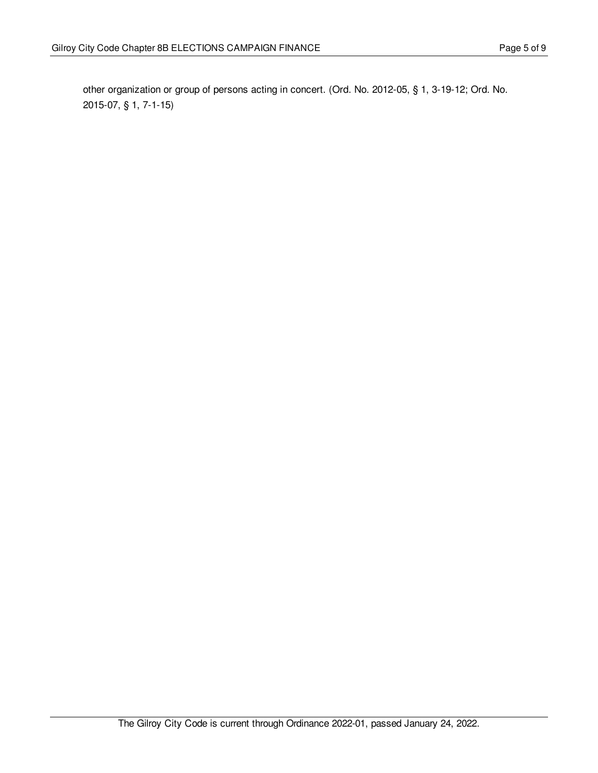other organization or group of persons acting in concert. (Ord. No. 2012-05, § 1, 3-19-12; Ord. No. 2015-07, § 1, 7-1-15)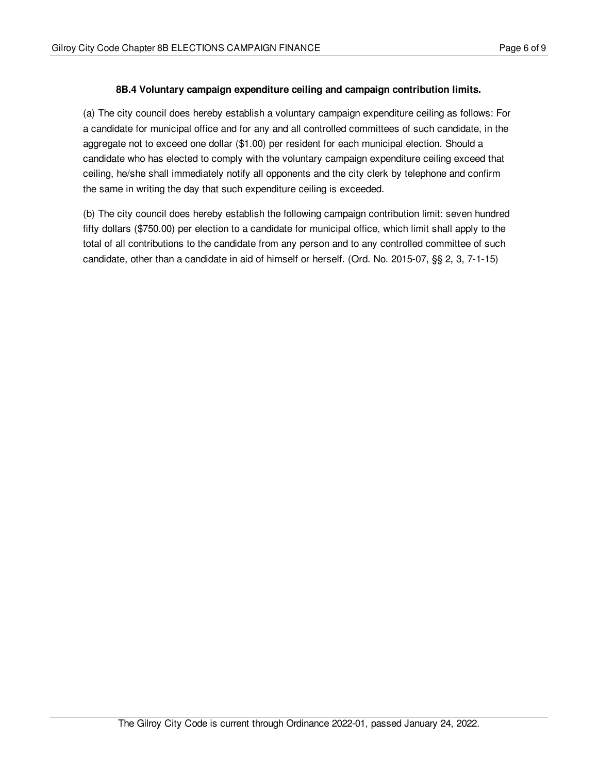## <span id="page-5-0"></span>**8B.4 Voluntary campaign expenditure ceiling and campaign contribution limits.**

(a) The city council does hereby establish a voluntary campaign expenditure ceiling as follows: For a candidate for municipal office and for any and all controlled committees of such candidate, in the aggregate not to exceed one dollar (\$1.00) per resident for each municipal election. Should a candidate who has elected to comply with the voluntary campaign expenditure ceiling exceed that ceiling, he/she shall immediately notify all opponents and the city clerk by telephone and confirm the same in writing the day that such expenditure ceiling is exceeded.

(b) The city council does hereby establish the following campaign contribution limit: seven hundred fifty dollars (\$750.00) per election to a candidate for municipal office, which limit shall apply to the total of all contributions to the candidate from any person and to any controlled committee of such candidate, other than a candidate in aid of himself or herself. (Ord. No. 2015-07, §§ 2, 3, 7-1-15)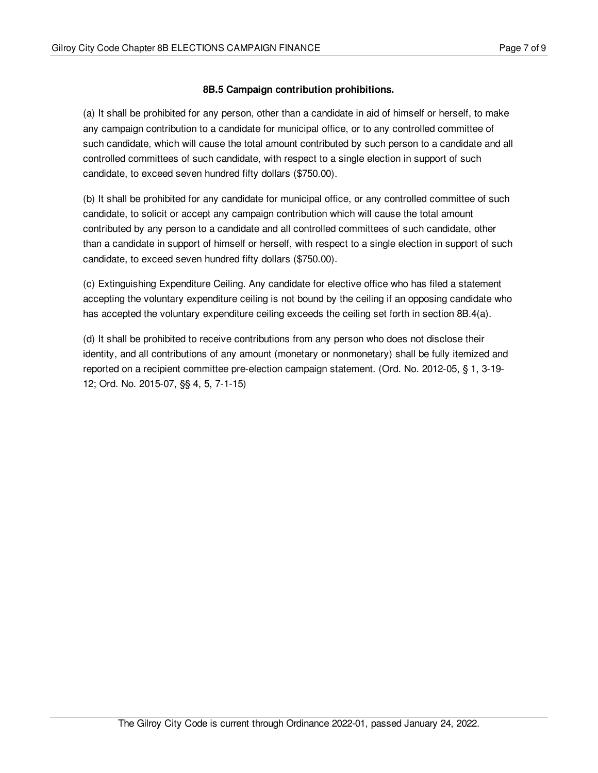## <span id="page-6-0"></span>**8B.5 Campaign contribution prohibitions.**

(a) It shall be prohibited for any person, other than a candidate in aid of himself or herself, to make any campaign contribution to a candidate for municipal office, or to any controlled committee of such candidate, which will cause the total amount contributed by such person to a candidate and all controlled committees of such candidate, with respect to a single election in support of such candidate, to exceed seven hundred fifty dollars (\$750.00).

(b) It shall be prohibited for any candidate for municipal office, or any controlled committee of such candidate, to solicit or accept any campaign contribution which will cause the total amount contributed by any person to a candidate and all controlled committees of such candidate, other than a candidate in support of himself or herself, with respect to a single election in support of such candidate, to exceed seven hundred fifty dollars (\$750.00).

(c) Extinguishing Expenditure Ceiling. Any candidate for elective office who has filed a statement accepting the voluntary expenditure ceiling is not bound by the ceiling if an opposing candidate who has accepted the voluntary expenditure ceiling exceeds the ceiling set forth in section 8B.4(a).

(d) It shall be prohibited to receive contributions from any person who does not disclose their identity, and all contributions of any amount (monetary or nonmonetary) shall be fully itemized and reported on a recipient committee pre-election campaign statement. (Ord. No. 2012-05, § 1, 3-19- 12; Ord. No. 2015-07, §§ 4, 5, 7-1-15)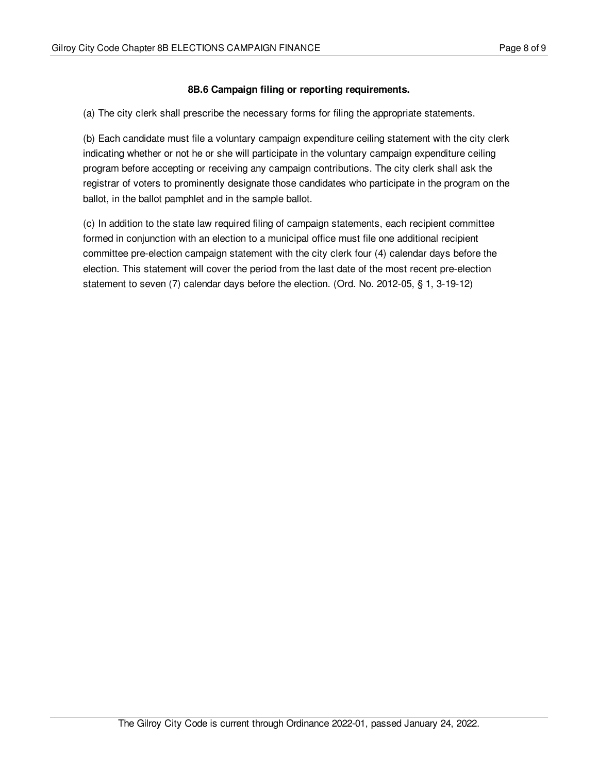## <span id="page-7-0"></span>**8B.6 Campaign filing or reporting requirements.**

(a) The city clerk shall prescribe the necessary forms for filing the appropriate statements.

(b) Each candidate must file a voluntary campaign expenditure ceiling statement with the city clerk indicating whether or not he or she will participate in the voluntary campaign expenditure ceiling program before accepting or receiving any campaign contributions. The city clerk shall ask the registrar of voters to prominently designate those candidates who participate in the program on the ballot, in the ballot pamphlet and in the sample ballot.

(c) In addition to the state law required filing of campaign statements, each recipient committee formed in conjunction with an election to a municipal office must file one additional recipient committee pre-election campaign statement with the city clerk four (4) calendar days before the election. This statement will cover the period from the last date of the most recent pre-election statement to seven (7) calendar days before the election. (Ord. No. 2012-05, § 1, 3-19-12)